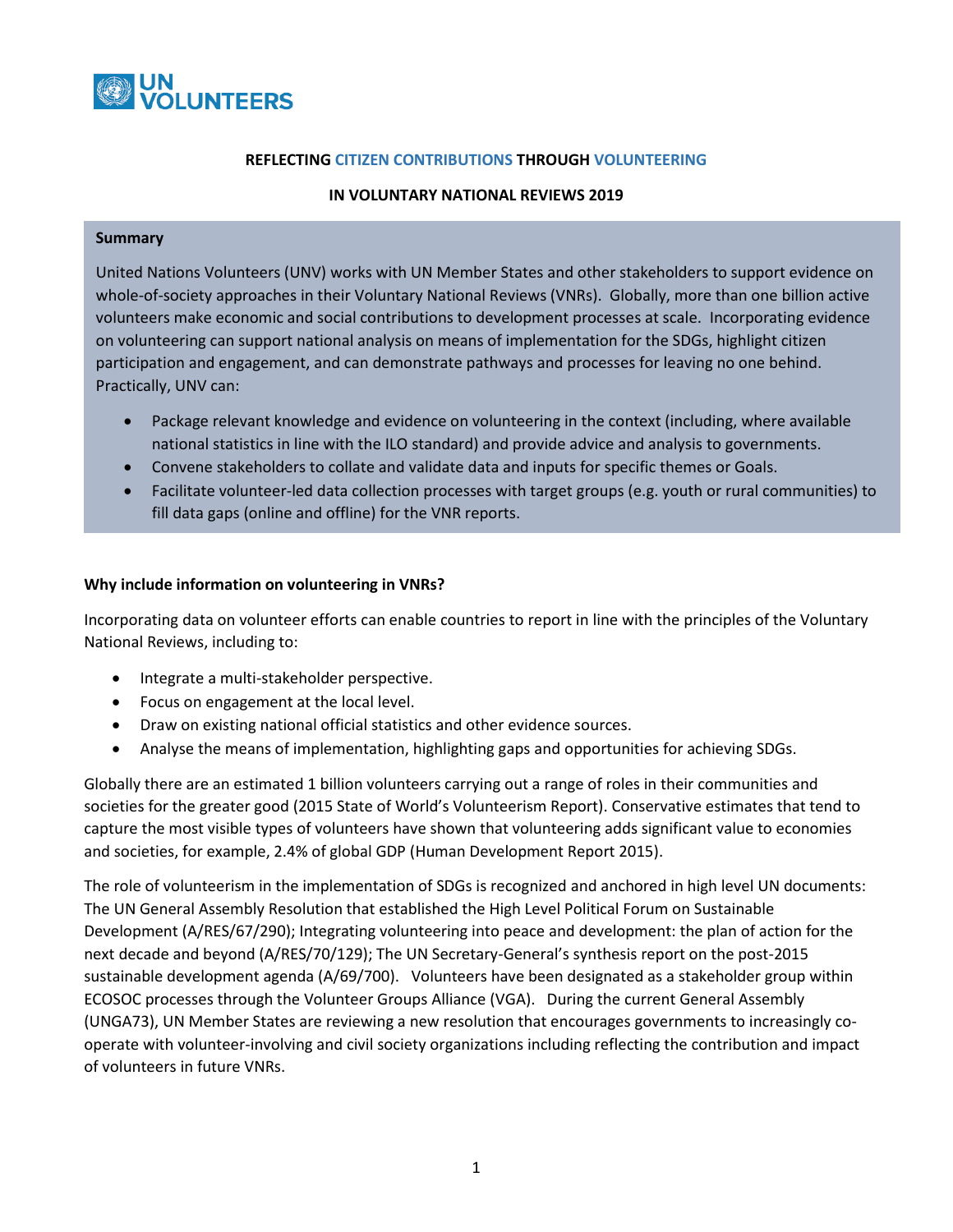

#### **REFLECTING CITIZEN CONTRIBUTIONS THROUGH VOLUNTEERING**

### **IN VOLUNTARY NATIONAL REVIEWS 2019**

#### **Summary**

United Nations Volunteers (UNV) works with UN Member States and other stakeholders to support evidence on whole-of-society approaches in their Voluntary National Reviews (VNRs). Globally, more than one billion active volunteers make economic and social contributions to development processes at scale. Incorporating evidence on volunteering can support national analysis on means of implementation for the SDGs, highlight citizen participation and engagement, and can demonstrate pathways and processes for leaving no one behind. Practically, UNV can:

- Package relevant knowledge and evidence on volunteering in the context (including, where available national statistics in line with the ILO standard) and provide advice and analysis to governments.
- Convene stakeholders to collate and validate data and inputs for specific themes or Goals.
- Facilitate volunteer-led data collection processes with target groups (e.g. youth or rural communities) to fill data gaps (online and offline) for the VNR reports.

 $\mathcal{S}$  source technical volume and offline and offline and offline and design.  $\mathcal{S}$ 

### **Why include information on volunteering in VNRs?**

Incorporating data on volunteer efforts can enable countries to report in line with the principles of the Voluntary National Reviews, including to:

- Integrate a multi-stakeholder perspective.
- Focus on engagement at the local level.
- Draw on existing national official statistics and other evidence sources.
- Analyse the means of implementation, highlighting gaps and opportunities for achieving SDGs.

Globally there are an estimated 1 billion volunteers carrying out a range of roles in their communities and societies for the greater good (2015 State of World's Volunteerism Report). Conservative estimates that tend to capture the most visible types of volunteers have shown that volunteering adds significant value to economies and societies, for example, 2.4% of global GDP (Human Development Report 2015).

The role of volunteerism in the implementation of SDGs is recognized and anchored in high level UN documents: The UN General Assembly Resolution that established the High Level Political Forum on Sustainable Development (A/RES/67/290); Integrating volunteering into peace and development: the plan of action for the next decade and beyond (A/RES/70/129); The UN Secretary-General's synthesis report on the post-2015 sustainable development agenda (A/69/700). Volunteers have been designated as a stakeholder group within ECOSOC processes through the Volunteer Groups Alliance (VGA). During the current General Assembly (UNGA73), UN Member States are reviewing a new resolution that encourages governments to increasingly cooperate with volunteer-involving and civil society organizations including reflecting the contribution and impact of volunteers in future VNRs.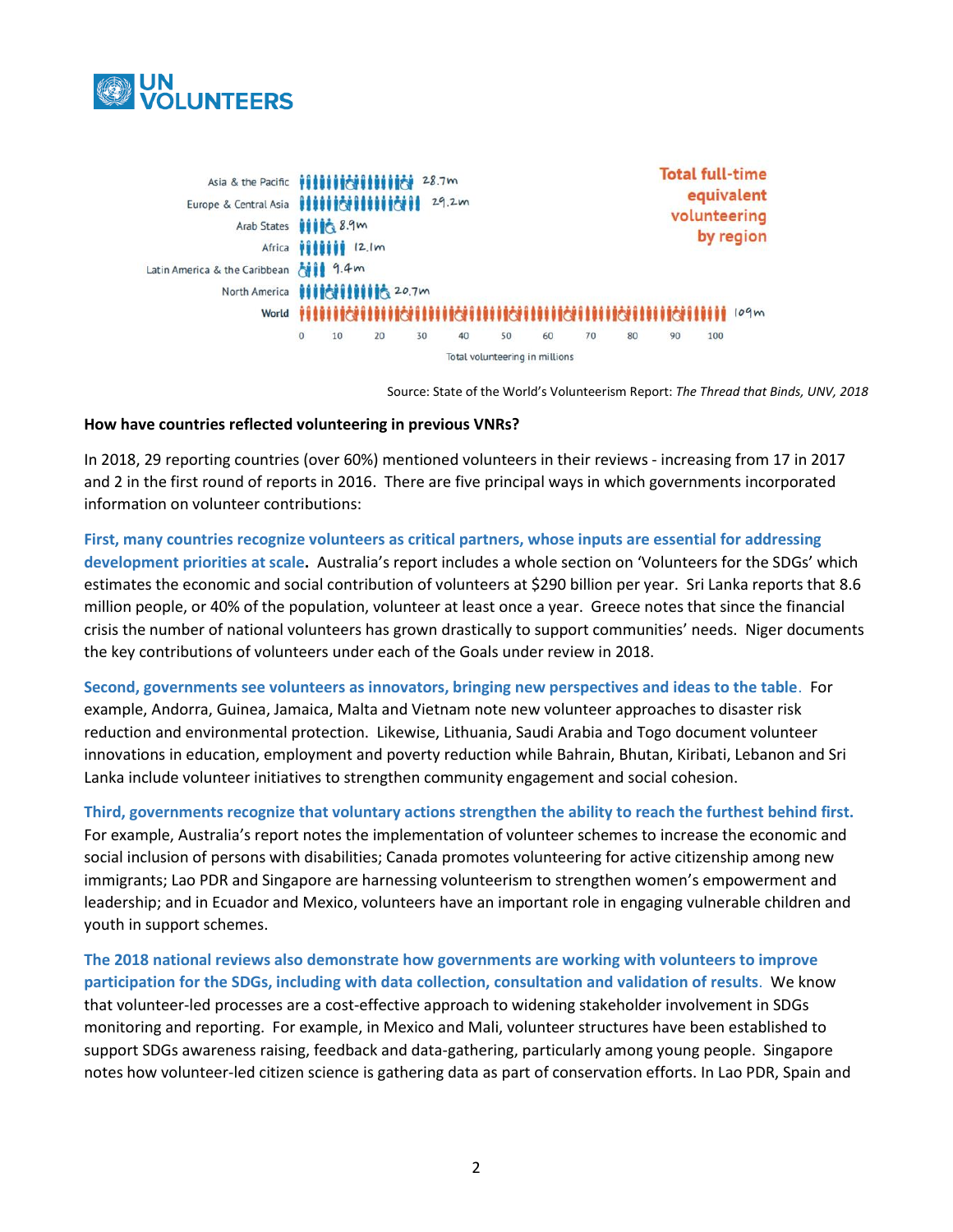

| Arab States <b>iiiii</b> 8.9m<br>Latin America & the Caribbean Alle 9.4 m<br>North America <b>HIII RIIIII 16</b> 20.7m |         | Africa <i>Villivi 12.1m</i>    |    |    | 28.7m<br>29.2m |                                                                                              |    |    |    |    |     | <b>Total full-time</b><br>equivalent<br>volunteering<br>by region |  |
|------------------------------------------------------------------------------------------------------------------------|---------|--------------------------------|----|----|----------------|----------------------------------------------------------------------------------------------|----|----|----|----|-----|-------------------------------------------------------------------|--|
|                                                                                                                        |         |                                |    |    |                | World <b>VINSING AND INSTITUTE OF THE EXPLORER AND INTERNATIONAL STATISTICS</b> IN THE UPPER |    |    |    |    |     |                                                                   |  |
|                                                                                                                        | $\circ$ | 10                             | 20 | 30 | 40             | 50                                                                                           | 60 | 70 | 80 | 90 | 100 |                                                                   |  |
|                                                                                                                        |         | Total volunteering in millions |    |    |                |                                                                                              |    |    |    |    |     |                                                                   |  |

Source: State of the World's Volunteerism Report: *The Thread that Binds, UNV, 2018*

#### **How have countries reflected volunteering in previous VNRs?**

In 2018, 29 reporting countries (over 60%) mentioned volunteers in their reviews - increasing from 17 in 2017 and 2 in the first round of reports in 2016. There are five principal ways in which governments incorporated information on volunteer contributions:

# **First, many countries recognize volunteers as critical partners, whose inputs are essential for addressing development priorities at scale.** Australia's report includes a whole section on 'Volunteers for the SDGs' which estimates the economic and social contribution of volunteers at \$290 billion per year. Sri Lanka reports that 8.6 million people, or 40% of the population, volunteer at least once a year. Greece notes that since the financial crisis the number of national volunteers has grown drastically to support communities' needs. Niger documents the key contributions of volunteers under each of the Goals under review in 2018.

**Second, governments see volunteers as innovators, bringing new perspectives and ideas to the table**. For example, Andorra, Guinea, Jamaica, Malta and Vietnam note new volunteer approaches to disaster risk reduction and environmental protection. Likewise, Lithuania, Saudi Arabia and Togo document volunteer innovations in education, employment and poverty reduction while Bahrain, Bhutan, Kiribati, Lebanon and Sri Lanka include volunteer initiatives to strengthen community engagement and social cohesion.

**Third, governments recognize that voluntary actions strengthen the ability to reach the furthest behind first.** For example, Australia's report notes the implementation of volunteer schemes to increase the economic and social inclusion of persons with disabilities; Canada promotes volunteering for active citizenship among new immigrants; Lao PDR and Singapore are harnessing volunteerism to strengthen women's empowerment and leadership; and in Ecuador and Mexico, volunteers have an important role in engaging vulnerable children and youth in support schemes.

**The 2018 national reviews also demonstrate how governments are working with volunteers to improve participation for the SDGs, including with data collection, consultation and validation of results**. We know that volunteer-led processes are a cost-effective approach to widening stakeholder involvement in SDGs monitoring and reporting. For example, in Mexico and Mali, volunteer structures have been established to support SDGs awareness raising, feedback and data-gathering, particularly among young people. Singapore notes how volunteer-led citizen science is gathering data as part of conservation efforts. In Lao PDR, Spain and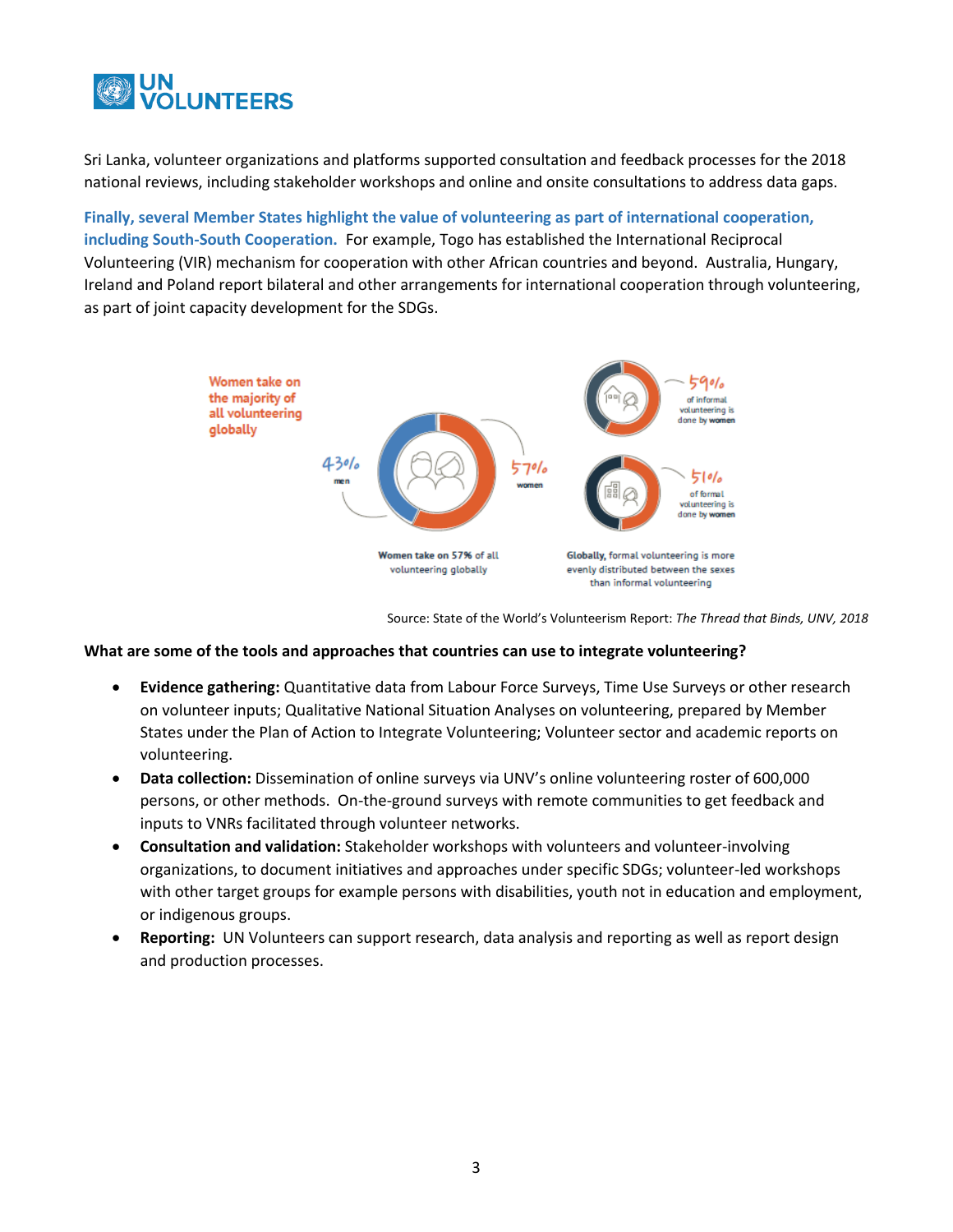

Sri Lanka, volunteer organizations and platforms supported consultation and feedback processes for the 2018 national reviews, including stakeholder workshops and online and onsite consultations to address data gaps.

**Finally, several Member States highlight the value of volunteering as part of international cooperation, including South-South Cooperation.** For example, Togo has established the International Reciprocal Volunteering (VIR) mechanism for cooperation with other African countries and beyond. Australia, Hungary, Ireland and Poland report bilateral and other arrangements for international cooperation through volunteering, as part of joint capacity development for the SDGs.



Source: State of the World's Volunteerism Report: *The Thread that Binds, UNV, 2018*

### **What are some of the tools and approaches that countries can use to integrate volunteering?**

- **Evidence gathering:** Quantitative data from Labour Force Surveys, Time Use Surveys or other research on volunteer inputs; Qualitative National Situation Analyses on volunteering, prepared by Member States under the Plan of Action to Integrate Volunteering; Volunteer sector and academic reports on volunteering.
- **Data collection:** Dissemination of online surveys via UNV's online volunteering roster of 600,000 persons, or other methods. On-the-ground surveys with remote communities to get feedback and inputs to VNRs facilitated through volunteer networks.
- **Consultation and validation:** Stakeholder workshops with volunteers and volunteer-involving organizations, to document initiatives and approaches under specific SDGs; volunteer-led workshops with other target groups for example persons with disabilities, youth not in education and employment, or indigenous groups.
- **Reporting:** UN Volunteers can support research, data analysis and reporting as well as report design and production processes.